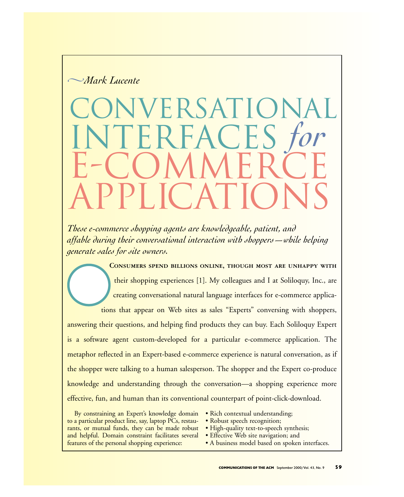#### -*Mark Lucente*

# **CONVERSATIONAL** INTERFACES *INTERFACES for<br>E-COMMERCE* Applications

*These e-commerce shopping agents are knowledgeable, patient, and affable during their conversational interaction with shoppers—while helping generate sales for site owners.*

**Consumers spend billions online, though most are unhappy with** their shopping experiences [1]. My colleagues and I at Soliloquy, Inc., are creating conversational natural language interfaces for e-commerce applications that appear on Web sites as sales "Experts" conversing with shoppers, answering their questions, and helping find products they can buy. Each Soliloquy Expert is a software agent custom-developed for a particular e-commerce application. The metaphor reflected in an Expert-based e-commerce experience is natural conversation, as if the shopper were talking to a human salesperson. The shopper and the Expert co-produce knowledge and understanding through the conversation—a shopping experience more effective, fun, and human than its conventional counterpart of point-click-download.

By constraining an Expert's knowledge domain to a particular product line, say, laptop PCs, restaurants, or mutual funds, they can be made robust and helpful. Domain constraint facilitates several features of the personal shopping experience:

- Rich contextual understanding;
- Robust speech recognition;
- High-quality text-to-speech synthesis;
- Effective Web site navigation; and
- A business model based on spoken interfaces.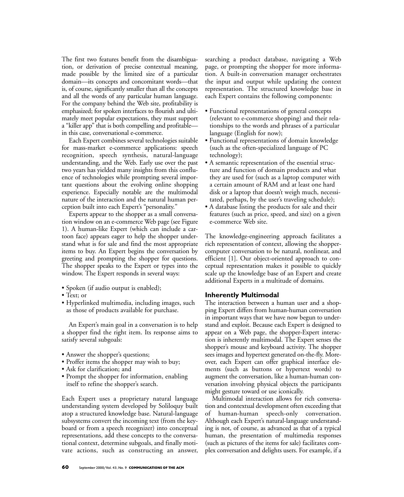The first two features benefit from the disambiguation, or derivation of precise contextual meaning, made possible by the limited size of a particular domain—its concepts and concomitant words—that is, of course, significantly smaller than all the concepts and all the words of any particular human language. For the company behind the Web site, profitability is emphasized; for spoken interfaces to flourish and ultimately meet popular expectations, they must support a "killer app" that is both compelling and profitable in this case, conversational e-commerce.

Each Expert combines several technologies suitable for mass-market e-commerce applications: speech recognition, speech synthesis, natural-language understanding, and the Web. Early use over the past two years has yielded many insights from this confluence of technologies while prompting several important questions about the evolving online shopping experience. Especially notable are the multimodal nature of the interaction and the natural human perception built into each Expert's "personality."

Experts appear to the shopper as a small conversation window on an e-commerce Web page (see Figure 1). A human-like Expert (which can include a cartoon face) appears eager to help the shopper understand what is for sale and find the most appropriate items to buy. An Expert begins the conversation by greeting and prompting the shopper for questions. The shopper speaks to the Expert or types into the window. The Expert responds in several ways:

- Spoken (if audio output is enabled);
- Text; or
- Hyperlinked multimedia, including images, such as those of products available for purchase.

An Expert's main goal in a conversation is to help a shopper find the right item. Its response aims to satisfy several subgoals:

- Answer the shopper's questions;
- Proffer items the shopper may wish to buy;
- Ask for clarification; and
- Prompt the shopper for information, enabling itself to refine the shopper's search.

Each Expert uses a proprietary natural language understanding system developed by Soliloquy built atop a structured knowledge base. Natural-language subsystems convert the incoming text (from the keyboard or from a speech recognizer) into conceptual representations, add these concepts to the conversational context, determine subgoals, and finally motivate actions, such as constructing an answer, searching a product database, navigating a Web page, or prompting the shopper for more information. A built-in conversation manager orchestrates the input and output while updating the context representation. The structured knowledge base in each Expert contains the following components:

- Functional representations of general concepts (relevant to e-commerce shopping) and their relationships to the words and phrases of a particular language (English for now);
- Functional representations of domain knowledge (such as the often-specialized language of PC technology);
- A semantic representation of the essential structure and function of domain products and what they are used for (such as a laptop computer with a certain amount of RAM and at least one hard disk or a laptop that doesn't weigh much, necessitated, perhaps, by the user's traveling schedule);
- A database listing the products for sale and their features (such as price, speed, and size) on a given e-commerce Web site.

The knowledge-engineering approach facilitates a rich representation of context, allowing the shoppercomputer conversation to be natural, nonlinear, and efficient [1]. Our object-oriented approach to conceptual representation makes it possible to quickly scale up the knowledge base of an Expert and create additional Experts in a multitude of domains.

### **Inherently Multimodal**

The interaction between a human user and a shopping Expert differs from human-human conversation in important ways that we have now begun to understand and exploit. Because each Expert is designed to appear on a Web page, the shopper-Expert interaction is inherently multimodal. The Expert senses the shopper's mouse and keyboard activity. The shopper sees images and hypertext generated on-the-fly. Moreover, each Expert can offer graphical interface elements (such as buttons or hypertext words) to augment the conversation, like a human-human conversation involving physical objects the participants might gesture toward or use iconically.

Multimodal interaction allows for rich conversation and contextual development often exceeding that of human-human speech-only conversation. Although each Expert's natural-language understanding is not, of course, as advanced as that of a typical human, the presentation of multimedia responses (such as pictures of the items for sale) facilitates complex conversation and delights users. For example, if a